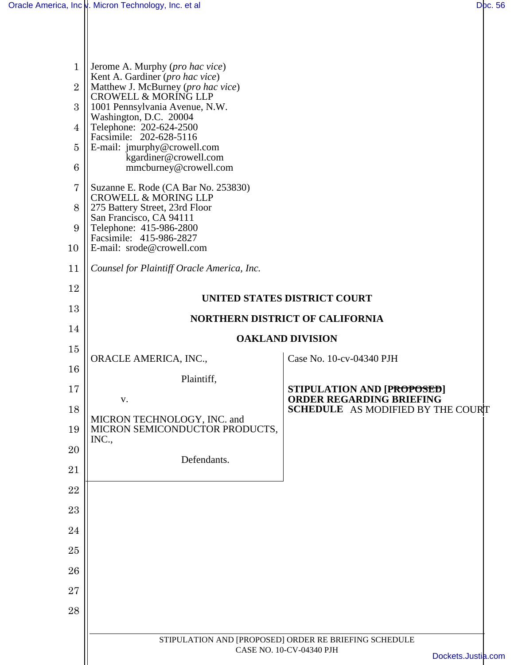| $\mathbf{1}$<br>$\overline{2}$<br>3<br>$\overline{4}$<br>$\overline{5}$<br>6<br>7<br>8<br>9<br>10<br>11 | Jerome A. Murphy (pro hac vice)<br>Kent A. Gardiner (pro hac vice)<br>Matthew J. McBurney (pro hac vice)<br><b>CROWELL &amp; MORING LLP</b><br>1001 Pennsylvania Avenue, N.W.<br>Washington, D.C. 20004<br>Telephone: 202-624-2500<br>Facsimile: 202-628-5116<br>E-mail: jmurphy@crowell.com<br>kgardiner@crowell.com<br>mmcburney@crowell.com<br>Suzanne E. Rode (CA Bar No. 253830)<br><b>CROWELL &amp; MORING LLP</b><br>275 Battery Street, 23rd Floor<br>San Francisco, CA 94111<br>Telephone: 415-986-2800<br>Facsimile: 415-986-2827<br>E-mail: srode@crowell.com<br>Counsel for Plaintiff Oracle America, Inc. |                                                               |  |  |
|---------------------------------------------------------------------------------------------------------|------------------------------------------------------------------------------------------------------------------------------------------------------------------------------------------------------------------------------------------------------------------------------------------------------------------------------------------------------------------------------------------------------------------------------------------------------------------------------------------------------------------------------------------------------------------------------------------------------------------------|---------------------------------------------------------------|--|--|
| 12                                                                                                      | UNITED STATES DISTRICT COURT                                                                                                                                                                                                                                                                                                                                                                                                                                                                                                                                                                                           |                                                               |  |  |
| 13                                                                                                      |                                                                                                                                                                                                                                                                                                                                                                                                                                                                                                                                                                                                                        | <b>NORTHERN DISTRICT OF CALIFORNIA</b>                        |  |  |
| 14                                                                                                      | <b>OAKLAND DIVISION</b>                                                                                                                                                                                                                                                                                                                                                                                                                                                                                                                                                                                                |                                                               |  |  |
| 15                                                                                                      | ORACLE AMERICA, INC.,                                                                                                                                                                                                                                                                                                                                                                                                                                                                                                                                                                                                  | Case No. 10-cv-04340 PJH                                      |  |  |
| 16                                                                                                      |                                                                                                                                                                                                                                                                                                                                                                                                                                                                                                                                                                                                                        |                                                               |  |  |
| 17                                                                                                      | Plaintiff,                                                                                                                                                                                                                                                                                                                                                                                                                                                                                                                                                                                                             | STIPULATION AND [PROPOSED]<br><b>ORDER REGARDING BRIEFING</b> |  |  |
| 18                                                                                                      | V.                                                                                                                                                                                                                                                                                                                                                                                                                                                                                                                                                                                                                     | <b>SCHEDULE AS MODIFIED BY THE COURT</b>                      |  |  |
| 19                                                                                                      | MICRON TECHNOLOGY, INC. and<br>MICRON SEMICONDUCTOR PRODUCTS,<br>INC.,                                                                                                                                                                                                                                                                                                                                                                                                                                                                                                                                                 |                                                               |  |  |
| 20                                                                                                      | Defendants.                                                                                                                                                                                                                                                                                                                                                                                                                                                                                                                                                                                                            |                                                               |  |  |
| 21                                                                                                      |                                                                                                                                                                                                                                                                                                                                                                                                                                                                                                                                                                                                                        |                                                               |  |  |
| 22                                                                                                      |                                                                                                                                                                                                                                                                                                                                                                                                                                                                                                                                                                                                                        |                                                               |  |  |
| 23                                                                                                      |                                                                                                                                                                                                                                                                                                                                                                                                                                                                                                                                                                                                                        |                                                               |  |  |
| 24                                                                                                      |                                                                                                                                                                                                                                                                                                                                                                                                                                                                                                                                                                                                                        |                                                               |  |  |
| 25                                                                                                      |                                                                                                                                                                                                                                                                                                                                                                                                                                                                                                                                                                                                                        |                                                               |  |  |
| 26                                                                                                      |                                                                                                                                                                                                                                                                                                                                                                                                                                                                                                                                                                                                                        |                                                               |  |  |
| 27                                                                                                      |                                                                                                                                                                                                                                                                                                                                                                                                                                                                                                                                                                                                                        |                                                               |  |  |
| 28                                                                                                      |                                                                                                                                                                                                                                                                                                                                                                                                                                                                                                                                                                                                                        |                                                               |  |  |
|                                                                                                         |                                                                                                                                                                                                                                                                                                                                                                                                                                                                                                                                                                                                                        |                                                               |  |  |
|                                                                                                         | STIPULATION AND [PROPOSED] ORDER RE BRIEFING SCHEDULE<br>CASE NO. 10-CV-04340 PJH                                                                                                                                                                                                                                                                                                                                                                                                                                                                                                                                      |                                                               |  |  |
|                                                                                                         | Dockets.Justia.com                                                                                                                                                                                                                                                                                                                                                                                                                                                                                                                                                                                                     |                                                               |  |  |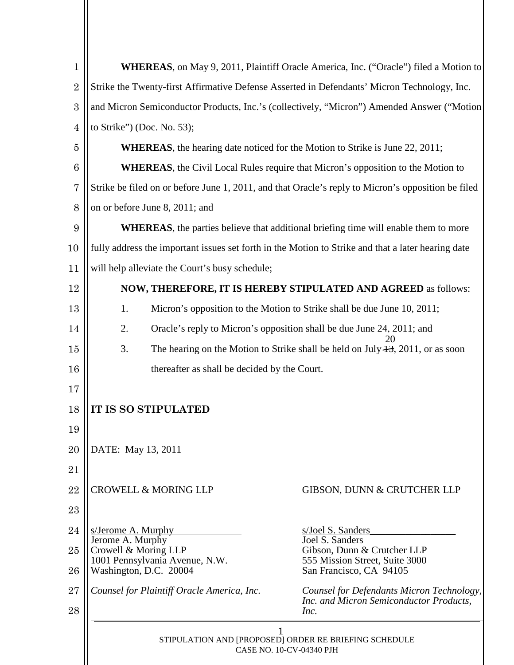| $\mathbf{1}$   |                                                                                                    |                                                          | <b>WHEREAS</b> , on May 9, 2011, Plaintiff Oracle America, Inc. ("Oracle") filed a Motion to       |
|----------------|----------------------------------------------------------------------------------------------------|----------------------------------------------------------|----------------------------------------------------------------------------------------------------|
| $\overline{2}$ | Strike the Twenty-first Affirmative Defense Asserted in Defendants' Micron Technology, Inc.        |                                                          |                                                                                                    |
| 3              | and Micron Semiconductor Products, Inc.'s (collectively, "Micron") Amended Answer ("Motion         |                                                          |                                                                                                    |
| 4              | to Strike") (Doc. No. 53);                                                                         |                                                          |                                                                                                    |
| 5              | <b>WHEREAS</b> , the hearing date noticed for the Motion to Strike is June 22, 2011;               |                                                          |                                                                                                    |
| 6              | <b>WHEREAS</b> , the Civil Local Rules require that Micron's opposition to the Motion to           |                                                          |                                                                                                    |
| 7              | Strike be filed on or before June 1, 2011, and that Oracle's reply to Micron's opposition be filed |                                                          |                                                                                                    |
| 8              | on or before June 8, 2011; and                                                                     |                                                          |                                                                                                    |
| 9              |                                                                                                    |                                                          | <b>WHEREAS</b> , the parties believe that additional briefing time will enable them to more        |
| 10             |                                                                                                    |                                                          | fully address the important issues set forth in the Motion to Strike and that a later hearing date |
| 11             | will help alleviate the Court's busy schedule;                                                     |                                                          |                                                                                                    |
| 12             |                                                                                                    |                                                          | NOW, THEREFORE, IT IS HEREBY STIPULATED AND AGREED as follows:                                     |
| 13             | 1.                                                                                                 |                                                          | Micron's opposition to the Motion to Strike shall be due June 10, 2011;                            |
| 14             | 2.                                                                                                 |                                                          | Oracle's reply to Micron's opposition shall be due June 24, 2011; and                              |
| 15             | 3.                                                                                                 |                                                          | The hearing on the Motion to Strike shall be held on July $\ddot{+}3$ , 2011, or as soon           |
| 16             |                                                                                                    | thereafter as shall be decided by the Court.             |                                                                                                    |
| 17             |                                                                                                    |                                                          |                                                                                                    |
| 18             | IT IS SO STIPULATED                                                                                |                                                          |                                                                                                    |
| 19             |                                                                                                    |                                                          |                                                                                                    |
| 20             | DATE: May 13, 2011                                                                                 |                                                          |                                                                                                    |
| 21             |                                                                                                    |                                                          |                                                                                                    |
| 22             |                                                                                                    | <b>CROWELL &amp; MORING LLP</b>                          | GIBSON, DUNN & CRUTCHER LLP                                                                        |
| 23             |                                                                                                    |                                                          |                                                                                                    |
| 24             | s/Jerome A. Murphy<br>Jerome A. Murphy                                                             |                                                          | s/Joel S. Sanders<br>Joel S. Sanders                                                               |
| 25<br>26       | Crowell & Moring LLP                                                                               | 1001 Pennsylvania Avenue, N.W.<br>Washington, D.C. 20004 | Gibson, Dunn & Crutcher LLP<br>555 Mission Street, Suite 3000<br>San Francisco, CA 94105           |
| 27             |                                                                                                    | Counsel for Plaintiff Oracle America, Inc.               | Counsel for Defendants Micron Technology,<br>Inc. and Micron Semiconductor Products,               |
| 28             |                                                                                                    |                                                          | Inc.                                                                                               |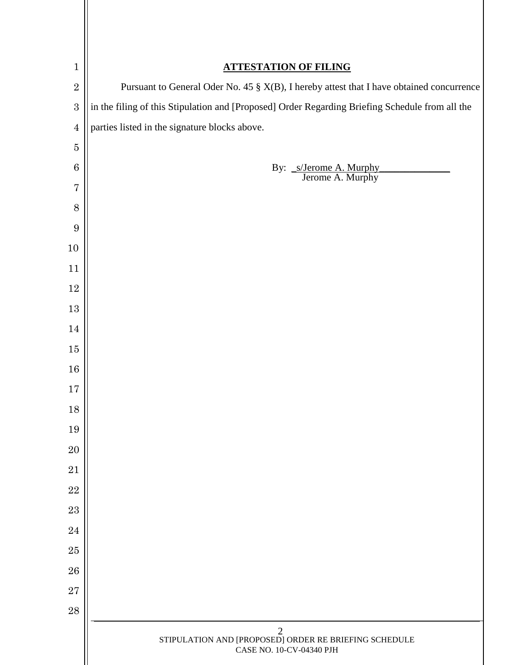| $\mathbf 1$      | <b>ATTESTATION OF FILING</b>                                                                        |  |  |
|------------------|-----------------------------------------------------------------------------------------------------|--|--|
| $\overline{2}$   | Pursuant to General Oder No. 45 § X(B), I hereby attest that I have obtained concurrence            |  |  |
| $\overline{3}$   | in the filing of this Stipulation and [Proposed] Order Regarding Briefing Schedule from all the     |  |  |
| $\boldsymbol{4}$ | parties listed in the signature blocks above.                                                       |  |  |
| $\bf 5$          |                                                                                                     |  |  |
| $\,6$            | By: S/Jerome A. Murphy<br>Jerome A. Murphy                                                          |  |  |
| $\overline{7}$   |                                                                                                     |  |  |
| $8\,$            |                                                                                                     |  |  |
| $\boldsymbol{9}$ |                                                                                                     |  |  |
| $10\,$           |                                                                                                     |  |  |
| $11\,$           |                                                                                                     |  |  |
| $12\,$           |                                                                                                     |  |  |
| $13\,$           |                                                                                                     |  |  |
| 14               |                                                                                                     |  |  |
| $15\,$           |                                                                                                     |  |  |
| $16\,$           |                                                                                                     |  |  |
| $17\,$           |                                                                                                     |  |  |
| $18\,$           |                                                                                                     |  |  |
| 19               |                                                                                                     |  |  |
| $20\,$           |                                                                                                     |  |  |
| $21\,$           |                                                                                                     |  |  |
| 22               |                                                                                                     |  |  |
| $\bf 23$         |                                                                                                     |  |  |
| 24               |                                                                                                     |  |  |
| $25\,$           |                                                                                                     |  |  |
| ${\bf 26}$       |                                                                                                     |  |  |
| 27               |                                                                                                     |  |  |
| 28               |                                                                                                     |  |  |
|                  | $\overline{2}$<br>STIPULATION AND [PROPOSED] ORDER RE BRIEFING SCHEDULE<br>CASE NO. 10-CV-04340 PJH |  |  |

Ш